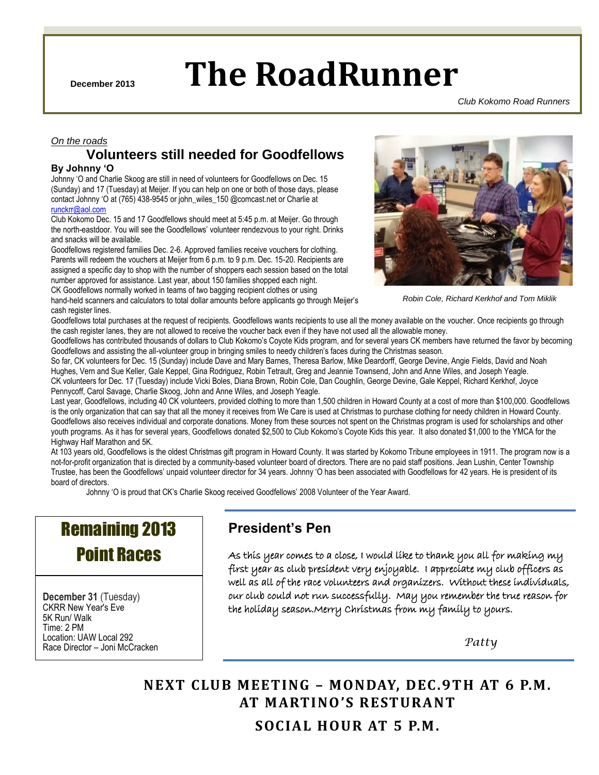**December 2013 The RoadRunner**

CKRR –December 2013 Page 1 of 6

*Club Kokomo Road Runners*

### *On the roads* **Volunteers still needed for Goodfellows**

### **By Johnny 'O**

Johnny "O and Charlie Skoog are still in need of volunteers for Goodfellows on Dec. 15 (Sunday) and 17 (Tuesday) at Meijer. If you can help on one or both of those days, please contact Johnny "O at (765) 438-9545 or john\_wiles\_150 @comcast.net or Charlie at [runckrr@aol.com](mailto:runckrr@aol.com)

Club Kokomo Dec. 15 and 17 Goodfellows should meet at 5:45 p.m. at Meijer. Go through the north-eastdoor. You will see the Goodfellows' volunteer rendezvous to your right. Drinks and snacks will be available.

Goodfellows registered families Dec. 2-6. Approved families receive vouchers for clothing. Parents will redeem the vouchers at Meijer from 6 p.m. to 9 p.m. Dec. 15-20. Recipients are assigned a specific day to shop with the number of shoppers each session based on the total number approved for assistance. Last year, about 150 families shopped each night. CK Goodfellows normally worked in teams of two bagging recipient clothes or using

hand-held scanners and calculators to total dollar amounts before applicants go through Meijer"s cash register lines.



*Robin Cole, Richard Kerkhof and Tom Miklik*

Goodfellows total purchases at the request of recipients. Goodfellows wants recipients to use all the money available on the voucher. Once recipients go through the cash register lanes, they are not allowed to receive the voucher back even if they have not used all the allowable money.

Goodfellows has contributed thousands of dollars to Club Kokomo"s Coyote Kids program, and for several years CK members have returned the favor by becoming Goodfellows and assisting the all-volunteer group in bringing smiles to needy children"s faces during the Christmas season.

So far, CK volunteers for Dec. 15 (Sunday) include Dave and Mary Barnes, Theresa Barlow, Mike Deardorff, George Devine, Angie Fields, David and Noah Hughes, Vern and Sue Keller, Gale Keppel, Gina Rodriguez, Robin Tetrault, Greg and Jeannie Townsend, John and Anne Wiles, and Joseph Yeagle. CK volunteers for Dec. 17 (Tuesday) include Vicki Boles, Diana Brown, Robin Cole, Dan Coughlin, George Devine, Gale Keppel, Richard Kerkhof, Joyce Pennycoff, Carol Savage, Charlie Skoog, John and Anne Wiles, and Joseph Yeagle.

Last year, Goodfellows, including 40 CK volunteers, provided clothing to more than 1,500 children in Howard County at a cost of more than \$100,000. Goodfellows is the only organization that can say that all the money it receives from We Care is used at Christmas to purchase clothing for needy children in Howard County. Goodfellows also receives individual and corporate donations. Money from these sources not spent on the Christmas program is used for scholarships and other youth programs. As it has for several years, Goodfellows donated \$2,500 to Club Kokomo"s Coyote Kids this year. It also donated \$1,000 to the YMCA for the Highway Half Marathon and 5K.

At 103 years old, Goodfellows is the oldest Christmas gift program in Howard County. It was started by Kokomo Tribune employees in 1911. The program now is a not-for-profit organization that is directed by a community-based volunteer board of directors. There are no paid staff positions. Jean Lushin, Center Township Trustee, has been the Goodfellows" unpaid volunteer director for 34 years. Johnny "O has been associated with Goodfellows for 42 years. He is president of its board of directors.

Johnny "O is proud that CK"s Charlie Skoog received Goodfellows" 2008 Volunteer of the Year Award.

# Remaining 2013 Point Races

**December 31** (Tuesday) CKRR New Year's Eve 5K Run/ Walk Time: 2 PM Location: UAW Local 292 Race Director – Joni McCracken

# **President's Pen**

As this year comes to a close, I would like to thank you all for making my first year as club president very enjoyable. I appreciate my club officers as well as all of the race volunteers and organizers. Without these individuals, our club could not run successfully. May you remember the true reason for the holiday season.Merry Christmas from my family to yours.

 *Patty*

**NEXT CLUB MEETING – MONDAY, DEC.9TH AT 6 P.M. AT MARTINO 'S RESTURANT SOCIAL HOUR AT 5 P.M.**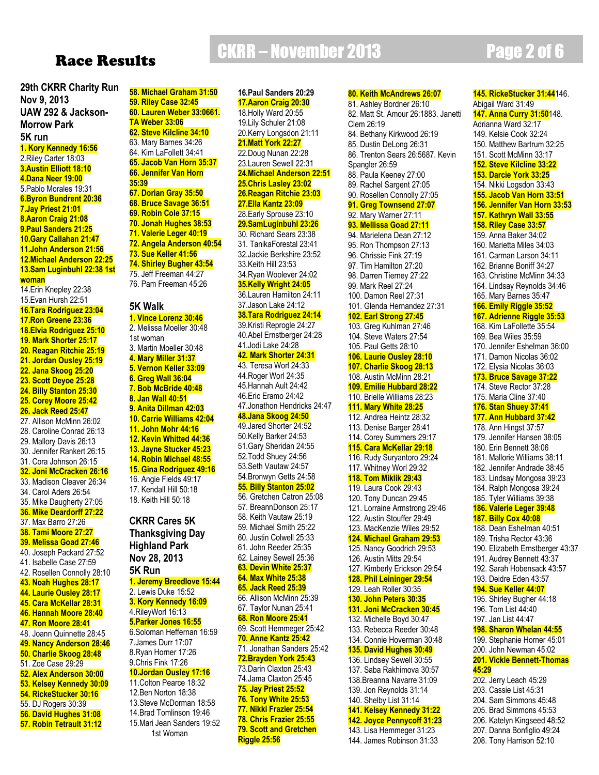# Race Results

### **29th CKRR Charity Run Nov 9, 2013 UAW 292 & Jackson-Morrow Park**

# **5K run**

**1. Kory Kennedy 16:56** 2.Riley Carter 18:03 **3.Austin Elliott 18:10 4.Dana Neer 19:00** 5.Pablo Morales 19:31 **6.Byron Bundrent 20:36 7.Jay Priest 21:01 8.Aaron Craig 21:08 9.Paul Sanders 21:25 10.Gary Callahan 21:47 11.John Anderson 21:56 12.Michael Anderson 22:25 13.Sam Luginbuhl 22:38 1st woman** 14.Erin Knepley 22:38 15.Evan Hursh 22:51 **16.Tara Rodriguez 23:04 17.Ron Greene 23:36 18.Elvia Rodriguez 25:10 19. Mark Shorter 25:17 20. Reagan Ritchie 25:19 21. Jordan Ousley 25:19 22. Jana Skoog 25:20 23. Scott Deyoe 25:28 24. Billy Stanton 25:30 25. Corey Moore 25:42**

### **26. Jack Reed 25:47**

- 27. Allison McMinn 26:02
- 28. Caroline Conrad 26:13
- 29. Mallory Davis 26:13
- 30. Jennifer Rankert 26:15
- 31. Cora Johnson 26:15
- **32. Joni McCracken 26:16**
- 33. Madison Cleaver 26:34
- 34. Carol Aders 26:54
- 35. Mike Daugherty 27:05 **36. Mike Deardorff 27:22**
- 37. Max Barro 27:26
- **38. Tami Moore 27:27**
- **39. Melissa Goad 27:46**
- 40. Joseph Packard 27:52
- 41. Isabelle Case 27:59
- 42. Rosellen Connolly 28:10
- **43. Noah Hughes 28:17**
- **44. Laurie Ousley 28:17**
- **45. Cara McKellar 28:31**
- **46. Hannah Moore 28:40**
- **47. Ron Moore 28:41**
- 48. Joann Quinnette 28:45
- **49. Nancy Anderson 28:46**
- **50. Charlie Skoog 28:48**
- 51. Zoe Case 29:29
- **52. Alex Anderson 30:00**
- **53. Kelsey Kennedy 30:09**
- **54. RickeStucker 30:16**
- 55. DJ Rogers 30:39
- **56. David Hughes 31:08**
- **57. Robin Tetrault 31:12**

**58. Michael Graham 31:50 59. Riley Case 32:45 60. Lauren Weber 33:0661. TA Weber 33:06 62. Steve Kilcline 34:10** 63. Mary Barnes 34:26 64. Kim LaFollett 34:41 **65. Jacob Van Horn 35:37 66. Jennifer Van Horn 35:39 67. Dorian Gray 35:50 68. Bruce Savage 36:51 69. Robin Cole 37:15 70. Jonah Hughes 38:53 71. Valerie Leger 40:19 72. Angela Anderson 40:54 73. Sue Keller 41:56 74. Shirley Bugher 43:54** 75. Jeff Freeman 44:27 76. Pam Freeman 45:26

# **5K Walk**

**1. Vince Lorenz 30:46** 2. Melissa Moeller 30:48 1st woman 3. Martin Moeller 30:48 **4. Mary Miller 31:37 5. Vernon Keller 33:09 6. Greg Wall 36:04 7. Bob McBride 40:48 8. Jan Wall 40:51 9. Anita Dillman 42:03 10. Carrie Williams 42:04 11. John Mohr 44:16 12. Kevin Whitted 44:36 13. Jayne Stucker 45:23 14. Robin Michael 48:55 15. Gina Rodriguez 49:16** 16. Angie Fields 49:17 17. Kendall Hill 50:18 18. Keith Hill 50:18

### **CKRR Cares 5K Thanksgiving Day Highland Park Nov 28, 2013**

**5K Run**

**1. Jeremy Breedlove 15:44** 2. Lewis Duke 15:52 **3. Kory Kennedy 16:09** 4.RileyWorl 16:13 **5.Parker Jones 16:55** 6.Soloman Heffernan 16:59 7.James Durr 17:07 8.Ryan Horner 17:26 9.Chris Fink 17:26 **10.Jordan Ousley 17:16**

11.Colton Pearce 18:32 12.Ben Norton 18:38 13.Steve McDorman 18:58 14.Brad Tomlinson 19:46 15.Mari Jean Sanders 19:52 1st Woman

### CKRR – November 2013 Page 2 of 6 **16.Paul Sanders 20:29 17.Aaron Craig 20:30** 18.Holly Ward 20:55 19.Lily Schuler 21:08 20.Kerry Longsdon 21:11 **21.Matt York 22:27** 22.Doug Nunan 22:28 23.Lauren Sewell 22:31 **24.Michael Anderson 22:51 25.Chris Lasley 23:02 26.Reagan Ritchie 23:03 27.Ella Kantz 23:09** 28.Early Sprouse 23:10 **29.SamLuginbuhl 23:26** 30. Richard Sears 23:38 31. TanikaForestal 23:41 32.Jackie Berkshire 23:52 33.Keith Hill 23:53 34.Ryan Woolever 24:02 **35.Kelly Wright 24:05** 36.Lauren Hamilton 24:11 37.Jason Lake 24:12

**38.Tara Rodriguez 24:14** 39.Kristi Reprogle 24:27 40.Abel Ernstberger 24:28 41.Jodi Lake 24:28 **42. Mark Shorter 24:31** 43. Teresa Worl 24:33 44.Roger Worl 24:35 45.Hannah Ault 24:42 46.Eric Eramo 24:42 47.Jonathon Hendricks 24:47 **48.Jana Skoog 24:50** 49.Jared Shorter 24:52 50.Kelly Barker 24:53 51.Gary Sheridan 24:55 52.Todd Shuey 24:56 53.Seth Vautaw 24:57 54.Bronwyn Getts 24:58 **55. Billy Stanton 25:02** 56. Gretchen Catron 25:08 57. BreannDonson 25:17 58. Keith Vautaw 25:19 59. Michael Smith 25:22 60. Justin Colwell 25:33 61. John Reeder 25:35 62. Lainey Sewell 25:36 **63. Devin White 25:37 64. Max White 25:38 65. Jack Reed 25:39** 66. Allison McMinn 25:39 67. Taylor Nunan 25:41 **68. Ron Moore 25:41** 69. Scott Hemmeger 25:42 **70. Anne Kantz 25:42** 71. Jonathan Sanders 25:42 **72.Brayden York 25:43** 73.Darin Claxton 25:43 74.Jama Claxton 25:45 **75. Jay Priest 25:52 76. Tony White 25:53 77. Nikki Frazier 25:54 78. Chris Frazier 25:55 79. Scott and Gretchen**

**Riggle 25:56**

# **80. Keith McAndrews 26:07**

81. Ashley Bordner 26:10 82. Matt St. Amour 26:1883. Janetti Clem 26:19 84. Bethany Kirkwood 26:19 85. Dustin DeLong 26:31 86. Trenton Sears 26:5687. Kevin Spangler 26:59 88. Paula Keeney 27:00 89. Rachel Sargent 27:05 90. Rosellen Connolly 27:05 **91. Greg Townsend 27:07** 92. Mary Warner 27:11 **93. Mellissa Goad 27:11** 94. Marielena Dean 27:12 95. Ron Thompson 27:13 96. Chrissie Fink 27:19 97. Tim Hamilton 27:20 98. Darren Tierney 27:22 99. Mark Reel 27:24 100. Damon Reel 27:31 101. Glenda Hernandez 27:31 **102. Earl Strong 27:45** 103. Greg Kuhlman 27:46 104. Steve Waters 27:54 105. Paul Getts 28:10 **106. Laurie Ousley 28:10 107. Charlie Skoog 28:13** 108. Austin McMinn 28:21 **109. Emilie Hubbard 28:22** 110. Brielle Williams 28:23 **111. Mary White 28:25** 112. Andrea Heintz 28:32 113. Denise Barger 28:41 114. Corey Summers 29:17 **115. Cara McKellar 29:18** 116. Rudy Suryantoro 29:24 117. Whitney Worl 29:32 **118. Tom Miklik 29:43** 119. Laura Cook 29:43 120. Tony Duncan 29:45 121. Lorraine Armstrong 29:46 122. Austin Stouffer 29:49 123. MacKenzie Wiles 29:52 **124. Michael Graham 29:53** 125. Nancy Goodrich 29:53 126. Austin Mitts 29:54 127. Kimberly Erickson 29:54 **128. Phil Leininger 29:54** 129. Leah Roller 30:35 **130. John Peters 30:35 131. Joni McCracken 30:45** 132. Michelle Boyd 30:47 133. Rebecca Reeder 30:48 134. Connie Hoverman 30:48 **135. David Hughes 30:49** 136. Lindsey Sewell 30:55 137. Saba Rakhimova 30:57 138.Breanna Navarre 31:09 139. Jon Reynolds 31:14 140. Shelby List 31:14 **141. Kelsey Kennedy 31:22 142. Joyce Pennycoff 31:23** 143. Lisa Hemmeger 31:23 144. James Robinson 31:33

**145. RickeStucker 31:44**146.

Abigail Ward 31:49 **147. Anna Curry 31:50**148. Adrianna Ward 32:17 149. Kelsie Cook 32:24 150. Matthew Bartrum 32:25 151. Scott McMinn 33:17 **152. Steve Kilcline 33:22 153. Darcie York 33:25** 154. Nikki Logsdon 33:43 **155. Jacob Van Horn 33:51 156. Jennifer Van Horn 33:53 157. Kathryn Wall 33:55 158. Riley Case 33:57** 159. Anna Baker 34:02 160. Marietta Miles 34:03 161. Carman Larson 34:11 162. Brianne Boniff 34:27 163. Christine McMinn 34:33 164. Lindsay Reynolds 34:46 165. Mary Barnes 35:47 **166. Emily Riggle 35:52 167. Adrienne Riggle 35:53** 168. Kim LaFollette 35:54 169. Bea Wiles 35:59 170. Jennifer Eshelman 36:00 171. Damon Nicolas 36:02 172. Elysia Nicolas 36:03 **173. Bruce Savage 37:22** 174. Steve Rector 37:28 175. Maria Cline 37:40 **176. Stan Shuey 37:41 177. Ann Hubbard 37:42** 178. Ann Hingst 37:57 179. Jennifer Hansen 38:05 180. Erin Bennett 38:06 181. Mallorie Williams 38:11 182. Jennifer Andrade 38:45 183. Lindsay Mongosa 39:23 184. Ralph Mongosa 39:24 185. Tyler Williams 39:38 **186. Valerie Leger 39:48 187. Billy Cox 40:08** 188. Dean Eshelman 40:51 189. Trisha Rector 43:36 190. Elizabeth Ernstberger 43:37 191. Audrey Bennett 43:37 192. Sarah Hobensack 43:57 193. Deidre Eden 43:57 **194. Sue Keller 44:07** 195. Shirley Bugher 44:18 196. Tom List 44:40 197. Jan List 44:47 **198. Sharon Whelan 44:55** 199. Stephanie Horner 45:01 200. John Newman 45:02 **201. Vickie Bennett-Thomas 45:29** 202. Jerry Leach 45:29 203. Cassie List 45:31 204. Sam Simmons 45:48 205. Brad Simmons 45:53 206. Katelyn Kingseed 48:52 207. Danna Bonfiglio 49:24 208. Tony Harrison 52:10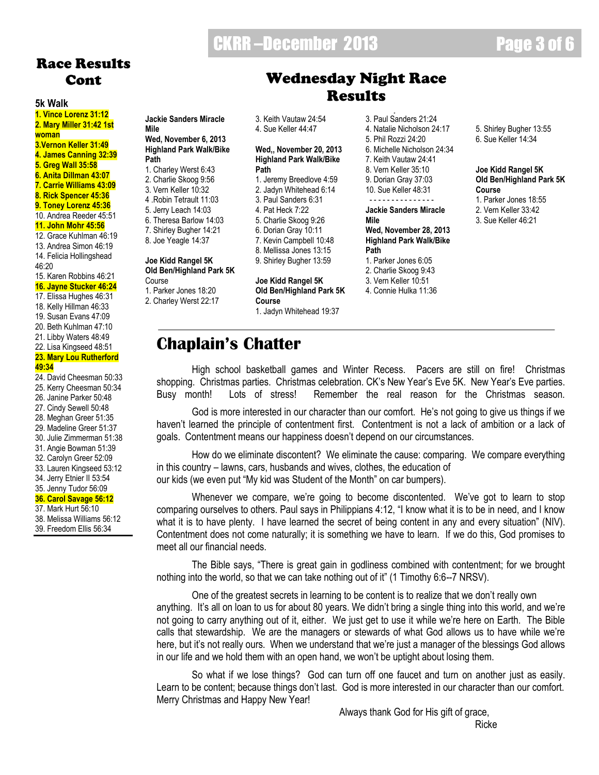# CKRR –December 2013 Page 3 of 6

**Jackie Sanders Miracle** 

# Race Results Cont

### **5k Walk**

**1. Vince Lorenz 31:12 2. Mary Miller 31:42 1st woman 3.Vernon Keller 31:49 4. James Canning 32:39 5. Greg Wall 35:58 6. Anita Dillman 43:07 7. Carrie Williams 43:09 8. Rick Spencer 45:36 9. Toney Lorenz 45:36** 10. Andrea Reeder 45:51 **11. John Mohr 45:56** 12. Grace Kuhlman 46:19 13. Andrea Simon 46:19 14. Felicia Hollingshead 46:20 15. Karen Robbins 46:21 **16. Jayne Stucker 46:24**

17. Elissa Hughes 46:31

- 18. Kelly Hillman 46:33 19. Susan Evans 47:09
- 20. Beth Kuhlman 47:10
- 21. Libby Waters 48:49
- 22. Lisa Kingseed 48:51

### **23. Mary Lou Rutherford 49:34**

24. David Cheesman 50:33

25. Kerry Cheesman 50:34

- 26. Janine Parker 50:48
- 27. Cindy Sewell 50:48
- 28. Meghan Greer 51:35 29. Madeline Greer 51:37
- 30. Julie Zimmerman 51:38
- 31. Angie Bowman 51:39
- 32. Carolyn Greer 52:09
- 33. Lauren Kingseed 53:12
- 34. Jerry Etnier II 53:54

### 35. Jenny Tudor 56:09

**36. Carol Savage 56:12**

### 37. Mark Hurt 56:10

38. Melissa Williams 56:12

39. Freedom Ellis 56:34

### **Jackie Sanders Miracle Mile Wed, November 6, 2013 Highland Park Walk/Bike Path** 1. Charley Werst 6:43

- 2. Charlie Skoog 9:56
- 3. Vern Keller 10:32
- 4 .Robin Tetrault 11:03
- 5. Jerry Leach 14:03
- 6. Theresa Barlow 14:03
- 7. Shirley Bugher 14:21
- 8. Joe Yeagle 14:37

### **Joe Kidd Rangel 5K Old Ben/Highland Park 5K**

#### Course 1. Parker Jones 18:20

**Chaplain's Chatter**

- 2. Charley Werst 22:17
- 

3. Keith Vautaw 24:54 4. Sue Keller 44:47

### **Wed,, November 20, 2013 Highland Park Walk/Bike Path**

- 1. Jeremy Breedlove 4:59
- 2. Jadyn Whitehead 6:14 3. Paul Sanders 6:31
- 4. Pat Heck 7:22
- 5. Charlie Skoog 9:26
- 6. Dorian Gray 10:11
- 7. Kevin Campbell 10:48
- 8. Mellissa Jones 13:15

### 9. Shirley Bugher 13:59

### **Joe Kidd Rangel 5K Old Ben/Highland Park 5K Course**

1. Jadyn Whitehead 19:37

3. Paul Sanders 21:24 4. Natalie Nicholson 24:17 5. Phil Rozzi 24:20

2. Jeremy Breedlove 19:37

Wednesday Night Race **Results** 

- 6. Michelle Nicholson 24:34
- 7. Keith Vautaw 24:41 8. Vern Keller 35:10
- 9. Dorian Gray 37:03
- 10. Sue Keller 48:31 - - - - - - - - - - - - - - -

### **Jackie Sanders Miracle Mile**

**Wed, November 28, 2013 Highland Park Walk/Bike Path**  1. Parker Jones 6:05

- 2. Charlie Skoog 9:43
- 3. Vern Keller 10:51
- 4. Connie Hulka 11:36

5. Shirley Bugher 13:55 6. Sue Keller 14:34

### **Joe Kidd Rangel 5K Old Ben/Highland Park 5K Course**

- 1. Parker Jones 18:55
- 2. Vern Keller 33:42
- 3. Sue Keller 46:21

High school basketball games and Winter Recess. Pacers are still on fire! Christmas shopping. Christmas parties. Christmas celebration. CK's New Year's Eve 5K. New Year's Eve parties. Busy month! Lots of stress! Remember the real reason for the Christmas season.

God is more interested in our character than our comfort. He"s not going to give us things if we haven't learned the principle of contentment first. Contentment is not a lack of ambition or a lack of goals. Contentment means our happiness doesn"t depend on our circumstances.

How do we eliminate discontent? We eliminate the cause: comparing. We compare everything in this country – lawns, cars, husbands and wives, clothes, the education of our kids (we even put "My kid was Student of the Month" on car bumpers).

Whenever we compare, we're going to become discontented. We've got to learn to stop comparing ourselves to others. Paul says in Philippians 4:12, "I know what it is to be in need, and I know what it is to have plenty. I have learned the secret of being content in any and every situation" (NIV). Contentment does not come naturally; it is something we have to learn. If we do this, God promises to meet all our financial needs.

The Bible says, "There is great gain in godliness combined with contentment; for we brought nothing into the world, so that we can take nothing out of it" (1 Timothy 6:6--7 NRSV).

One of the greatest secrets in learning to be content is to realize that we don"t really own anything. It's all on loan to us for about 80 years. We didn't bring a single thing into this world, and we're not going to carry anything out of it, either. We just get to use it while we"re here on Earth. The Bible calls that stewardship. We are the managers or stewards of what God allows us to have while we"re here, but it's not really ours. When we understand that we're just a manager of the blessings God allows in our life and we hold them with an open hand, we won't be uptight about losing them.

So what if we lose things? God can turn off one faucet and turn on another just as easily. Learn to be content; because things don"t last. God is more interested in our character than our comfort. Merry Christmas and Happy New Year!

Always thank God for His gift of grace,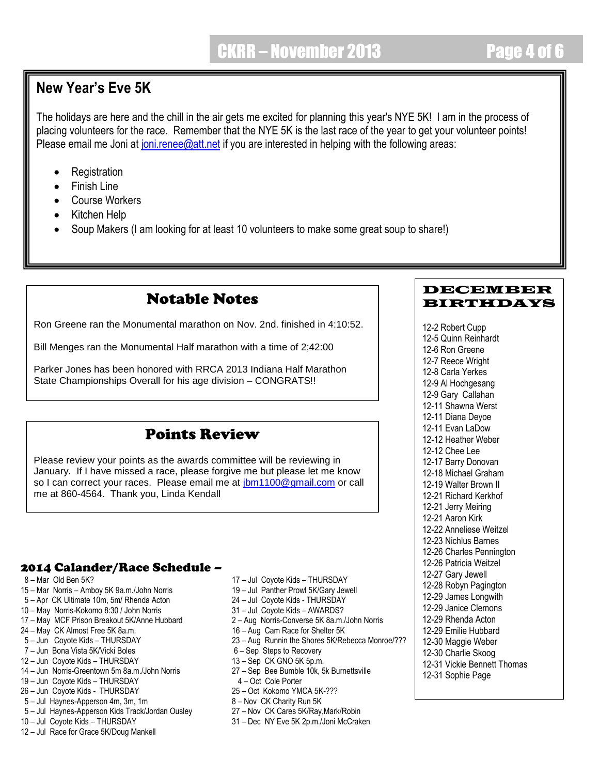# **New Year's Eve 5K**

The holidays are here and the chill in the air gets me excited for planning this year's NYE 5K! I am in the process of placing volunteers for the race. Remember that the NYE 5K is the last race of the year to get your volunteer points! Please email me Joni at [joni.renee@att.net](mailto:joni.renee@att.net) if you are interested in helping with the following areas:

- Registration
- Finish Line
- Course Workers
- Kitchen Help
- Soup Makers (I am looking for at least 10 volunteers to make some great soup to share!)

# Notable Notes

Ron Greene ran the Monumental marathon on Nov. 2nd. finished in 4:10:52.

Bill Menges ran the Monumental Half marathon with a time of 2;42:00

Parker Jones has been honored with RRCA 2013 Indiana Half Marathon State Championships Overall for his age division – CONGRATS!!

# Points Review

Please review your points as the awards committee will be reviewing in January. If I have missed a race, please forgive me but please let me know so I can correct your races. Please email me at [jbm1100@gmail.com](mailto:jbm1100@gmail.com) or call me at 860-4564. Thank you, Linda Kendall

# 2014 Calander/Race Schedule –

- 
- 15 Mar Norris Amboy 5K 9a.m./John Norris 19 Jul Panther Prowl 5K/Gary Jewell
- 5 Apr CK Ultimate 10m, 5m/ Rhenda Acton 24 Jul Coyote Kids THURSDAY
- 10 May Norris-Kokomo 8:30 / John Norris 31 Jul Coyote Kids AWARDS?
- 17 May MCF Prison Breakout 5K/Anne Hubbard 2 Aug Norris-Converse 5K 8a.m./John Norris
- 24 May CK Almost Free 5K 8a.m. 16 Aug Cam Race for Shelter 5K
- 5 Jun Coyote Kids THURSDAY 23 Aug Runnin the Shores 5K/Rebecca Monroe/???
- 7 Jun Bona Vista 5K/Vicki Boles 6 Sep Steps to Recovery
- 12 Jun Coyote Kids THURSDAY 13 Sep CK GNO 5K 5p.m.
- 14 Jun Norris-Greentown 5m 8a.m./John Norris 27 Sep Bee Bumble 10k, 5k Burnettsville
- 19 Jun Coyote Kids THURSDAY 4 Oct Cole Porter
- 
- 
- 5 Jul Haynes-Apperson 4m, 3m, 1m<br>5 Jul Haynes-Apperson Kids Track/Jordan Ousley 27 Nov CK Cares 5K/Ray, Mark/Robin 5 – Jul Haynes-Apperson Kids Track/Jordan Ousley<br>10 – Jul Coyote Kids – THURSDAY
- 
- 12 Jul Race for Grace 5K/Doug Mankell
- 8 Mar Old Ben 5K? 17 Jul Coyote Kids THURSDAY
	-
	-
	-
	-
	-
	-
	-
	-
	-
	-
- 26 Jun Coyote Kids THURSDAY 25 Oct Kokomo YMCA 5K-???
	-
	-
	- 31 Dec NY Eve 5K 2p.m./Joni McCraken

### DECEMBER BIRTHDAYS

12-2 Robert Cupp 12-5 Quinn Reinhardt 12-6 Ron Greene 12-7 Reece Wright 12-8 Carla Yerkes 12-9 Al Hochgesang 12-9 Gary Callahan 12-11 Shawna Werst 12-11 Diana Deyoe 12-11 Evan LaDow 12-12 Heather Weber 12-12 Chee Lee 12-17 Barry Donovan 12-18 Michael Graham 12-19 Walter Brown II 12-21 Richard Kerkhof 12-21 Jerry Meiring 12-21 Aaron Kirk 12-22 Anneliese Weitzel 12-23 Nichlus Barnes 12-26 Charles Pennington 12-26 Patricia Weitzel 12-27 Gary Jewell 12-28 Robyn Pagington 12-29 James Longwith 12-29 Janice Clemons 12-29 Rhenda Acton 12-29 Emilie Hubbard 12-30 Maggie Weber 12-30 Charlie Skoog 12-31 Vickie Bennett Thomas 12-31 Sophie Page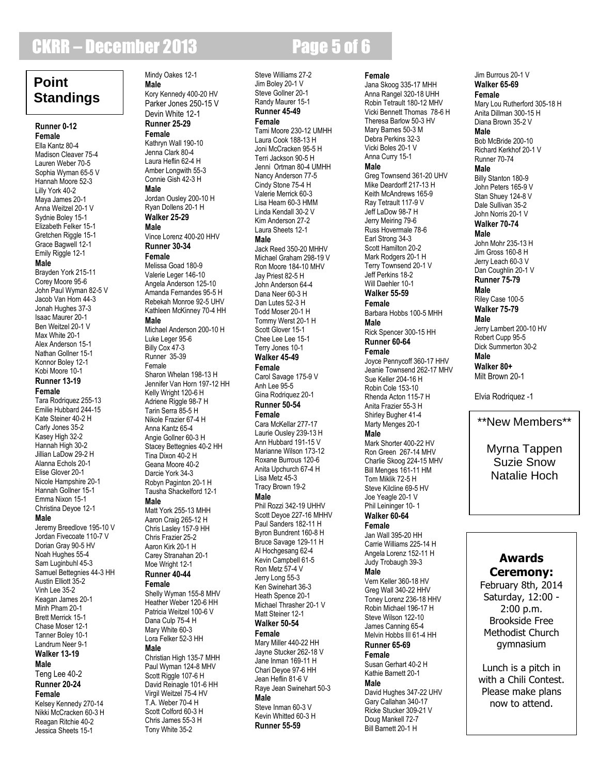# **CKRR – December 2013 Page 5 of 6**

# **Point Standings**

#### **Runner 0-12 Female**

Ella Kantz 80-4 Madison Cleaver 75-4 Lauren Weber 70-5 Sophia Wyman 65-5 V Hannah Moore 52-3 Lilly York 40-2 Maya James 20-1 Anna Weitzel 20-1 V Sydnie Boley 15-1 Elizabeth Felker 15-1 Gretchen Riggle 15-1 Grace Bagwell 12-1 Emily Riggle 12-1 **Male** Brayden York 215-11 Corey Moore 95-6 John Paul Wyman 82-5 V Jacob Van Horn 44-3 Jonah Hughes 37-3 Isaac Maurer 20-1 Ben Weitzel 20-1 V Max White 20-1 Alex Anderson 15-1 Nathan Gollner 15-1 Konnor Boley 12-1 Kobi Moore 10-1 **Runner 13-19 Female** Tara Rodriquez 255-13 Emilie Hubbard 244-15 Kate Steiner 40-2 H Carly Jones 35-2 Kasey High 32-2 Hannah High 30-2 Jillian LaDow 29-2 H Alanna Echols 20-1 Elise Glover 20-1 Nicole Hampshire 20-1

#### Emma Nixon 15-1 Christina Deyoe 12-1

Hannah Gollner 15-1

### **Male**

Jeremy Breedlove 195-10 V Jordan Fivecoate 110-7 V Dorian Gray 90-5 HV Noah Hughes 55-4 Sam Luginbuhl 45-3 Samuel Bettegnies 44-3 HH Austin Elliott 35-2 Vinh Lee 35-2 Keagan James 20-1 Minh Pham 20-1 Brett Merrick 15-1 Chase Moser 12-1 Tanner Boley 10-1 Landrum Neer 9-1 **Walker 13-19 Male** Teng Lee 40-2 **Runner 20-24 Female**

Kelsey Kennedy 270-14 Nikki McCracken 60-3 H Reagan Ritchie 40-2 Jessica Sheets 15-1

### Mindy Oakes 12-1 **Male**

Kory Kennedy 400-20 HV Parker Jones 250-15 V Devin White 12-1

#### **Runner 25-29 Female**

Kathryn Wall 190-10 Jenna Clark 80-4 Laura Heflin 62-4 H Amber Longwith 55-3 Connie Gish 42-3 H

### **Male**

Jordan Ousley 200-10 H Ryan Dollens 20-1 H **Walker 25-29**

### **Male**

Vince Lorenz 400-20 HHV **Runner 30-34 Female** Melissa Goad 180-9 Valerie Leger 146-10 Angela Anderson 125-10 Amanda Fernandes 95-5 H

Rebekah Monroe 92-5 UHV Kathleen McKinney 70-4 HH **Male**

Michael Anderson 200-10 H Luke Leger 95-6 Billy Cox 47-3 Runner 35-39 Female Sharon Whelan 198-13 H Jennifer Van Horn 197-12 HH Kelly Wright 120-6 H Adriene Riggle 98-7 H Tarin Serra 85-5 H Nikole Frazier 67-4 H Anna Kantz 65-4 Angie Gollner 60-3 H Stacey Bettegnies 40-2 HH Tina Dixon 40-2 H Geana Moore 40-2 Darcie York 34-3 Robyn Paginton 20-1 H Tausha Shackelford 12-1 **Male** Matt York 255-13 MHH Aaron Craig 265-12 H Chris Lasley 157-9 HH Chris Frazier 25-2 Aaron Kirk 20-1 H Carey Stranahan 20-1

### Moe Wright 12-1 **Runner 40-44**

**Female**

Shelly Wyman 155-8 MHV Heather Weber 120-6 HH Patricia Weitzel 100-6 V Dana Culp 75-4 H Mary White 60-3 Lora Felker 52-3 HH **Male** Christian High 135-7 MHH

Paul Wyman 124-8 MHV Scott Riggle 107-6 H David Reinagle 101-6 HH Virgil Weitzel 75-4 HV T.A. Weber 70-4 H Scott Colford 60-3 H Chris James 55-3 H Tony White 35-2

Steve Williams 27-2 Jim Boley 20-1 V Steve Gollner 20-1 Randy Maurer 15-1 **Runner 45-49 Female** Tami Moore 230-12 UMHH Laura Cook 188-13 H Joni McCracken 95-5 H Terri Jackson 90-5 H Jenni Ortman 80-4 UMHH Nancy Anderson 77-5 Cindy Stone 75-4 H Valerie Merrick 60-3 Lisa Hearn 60-3 HMM Linda Kendall 30-2 V Kim Anderson 27-2 Laura Sheets 12-1 **Male** Jack Reed 350-20 MHHV Michael Graham 298-19 V Ron Moore 184-10 MHV Jay Priest 82-5 H John Anderson 64-4 Dana Neer 60-3 H Dan Lutes 52-3 H Todd Moser 20-1 H Tommy Werst 20-1 H Scott Glover 15-1 Chee Lee Lee 15-1 Terry Jones 10-1 **Walker 45-49 Female** Carol Savage 175-9 V Anh Lee 95-5 Gina Rodriquez 20-1 **Runner 50-54 Female** Cara McKellar 277-17 Laurie Ousley 239-13 H Ann Hubbard 191-15 V Marianne Wilson 173-12 Roxane Burrous 120-6 Anita Upchurch 67-4 H Lisa Metz 45-3 Tracy Brown 19-2 **Male** Phil Rozzi 342-19 UHHV Scott Deyoe 227-16 MHHV Paul Sanders 182-11 H Byron Bundrent 160-8 H Bruce Savage 129-11 H Al Hochgesang 62-4 Kevin Campbell 61-5 Ron Metz 57-4 V Jerry Long 55-3 Ken Swinehart 36-3 Heath Spence 20-1 Michael Thrasher 20-1 V Matt Steiner 12-1 **Walker 50-54 Female** Mary Miller 440-22 HH Jayne Stucker 262-18 V Jane Inman 169-11 H Chari Deyoe 97-6 HH Jean Heflin 81-6 V Raye Jean Swinehart 50-3

### **Male**

Steve Inman 60-3 V Kevin Whitted 60-3 H **Runner 55-59**

**Female** Jana Skoog 335-17 MHH Anna Rangel 320-18 UHH Robin Tetrault 180-12 MHV Vicki Bennett Thomas 78-6 H Theresa Barlow 50-3 HV Mary Barnes 50-3 M Debra Perkins 32-3 Vicki Boles 20-1 V Anna Curry 15-1 **Male** Greg Townsend 361-20 UHV Mike Deardorff 217-13 H Keith McAndrews 165-9 Ray Tetrault 117-9 V Jeff LaDow 98-7 H Jerry Meiring 79-6 Russ Hovermale 78-6 Earl Strong 34-3 Scott Hamilton 20-2 Mark Rodgers 20-1 H Terry Townsend 20-1 V Jeff Perkins 18-2 Will Daehler 10-1 **Walker 55-59 Female** Barbara Hobbs 100-5 MHH **Male** Rick Spencer 300-15 HH **Runner 60-64 Female** Joyce Pennycoff 360-17 HHV Jeanie Townsend 262-17 MHV Sue Keller 204-16 H Robin Cole 153-10 Rhenda Acton 115-7 H Anita Frazier 55-3 H Shirley Bugher 41-4 Marty Menges 20-1 **Male** Mark Shorter 400-22 HV Ron Green 267-14 MHV Charlie Skoog 224-15 MHV Bill Menges 161-11 HM Tom Miklik 72-5 H Steve Kilcline 69-5 HV Joe Yeagle 20-1 V Phil Leininger 10- 1 **Walker 60-64 Female**

### Jan Wall 395-20 HH Carrie Williams 225-14 H Angela Lorenz 152-11 H Judy Trobaugh 39-3

**Male**

Vern Keller 360-18 HV Greg Wall 340-22 HHV Toney Lorenz 236-18 HHV Robin Michael 196-17 H Steve Wilson 122-10 James Canning 65-4 Melvin Hobbs III 61-4 HH **Runner 65-69**

### **Female**

Susan Gerhart 40-2 H Kathie Barnett 20-1

### **Male**

David Hughes 347-22 UHV Gary Callahan 340-17 Ricke Stucker 309-21 V Doug Mankell 72-7 Bill Barnett 20-1 H

#### **Female** Mary Lou Rutherford 305-18 H Anita Dillman 300-15 H Diana Brown 35-2 V **Male** Bob McBride 200-10 Richard Kerkhof 20-1 V Runner 70-74 **Male** Billy Stanton 180-9 John Peters 165-9 V Stan Shuey 124-8 V Dale Sullivan 35-2 John Norris 20-1 V **Walker 70-74 Male** John Mohr 235-13 H Jim Gross 160-8 H Jerry Leach 60-3 V Dan Coughlin 20-1 V **Runner 75-79 Male** Riley Case 100-5 **Walker 75-79 Male** Jerry Lambert 200-10 HV Robert Cupp 95-5 Dick Summerton 30-2 **Male Walker 80+** Milt Brown 20-1

Jim Burrous 20-1 V **Walker 65-69**

Elvia Rodriquez -1

# \*\*New Members\*\*

Myrna Tappen Suzie Snow Natalie Hoch

# **Awards Ceremony:**

February 8th, 2014 Saturday, 12:00 - 2:00 p.m. Brookside Free Methodist Church gymnasium

Lunch is a pitch in with a Chili Contest. Please make plans now to attend.